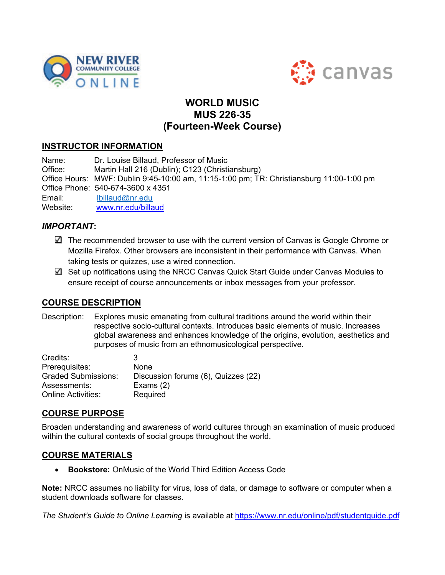



# **WORLD MUSIC MUS 226-35 (Fourteen-Week Course)**

# **INSTRUCTOR INFORMATION**

 $F$ mail: Website: Name: Dr. Louise Billaud, Professor of Music Office: Martin Hall 216 (Dublin); C123 (Christiansburg) Office Hours: MWF: Dublin 9:45-10:00 am, 11:15-1:00 pm; TR: Christiansburg 11:00-1:00 pm Office Phone: 540-674-3600 x 4351 Ibillaud@nr.edu www.nr.edu/billaud

# *IMPORTANT***:**

- $\Box$  The recommended browser to use with the current version of Canvas is Google Chrome or Mozilla Firefox. Other browsers are inconsistent in their performance with Canvas. When taking tests or quizzes, use a wired connection.
- $\boxtimes$  Set up notifications using the NRCC Canvas Quick Start Guide under Canvas Modules to ensure receipt of course announcements or inbox messages from your professor.

# **COURSE DESCRIPTION**

Description: Explores music emanating from cultural traditions around the world within their respective socio-cultural contexts. Introduces basic elements of music. Increases global awareness and enhances knowledge of the origins, evolution, aesthetics and purposes of music from an ethnomusicological perspective.

| Credits:                  | З                                   |
|---------------------------|-------------------------------------|
| Prerequisites:            | None                                |
| Graded Submissions:       | Discussion forums (6), Quizzes (22) |
| Assessments:              | Exams $(2)$                         |
| <b>Online Activities:</b> | Required                            |

# **COURSE PURPOSE**

 within the cultural contexts of social groups throughout the world. Broaden understanding and awareness of world cultures through an examination of music produced

## **COURSE MATERIALS**

• **Bookstore:** OnMusic of the World Third Edition Access Code

**Note:** NRCC assumes no liability for virus, loss of data, or damage to software or computer when a student downloads software for classes.

*The Student's Guide to Online Learning* is available at<https://www.nr.edu/online/pdf/studentguide.pdf>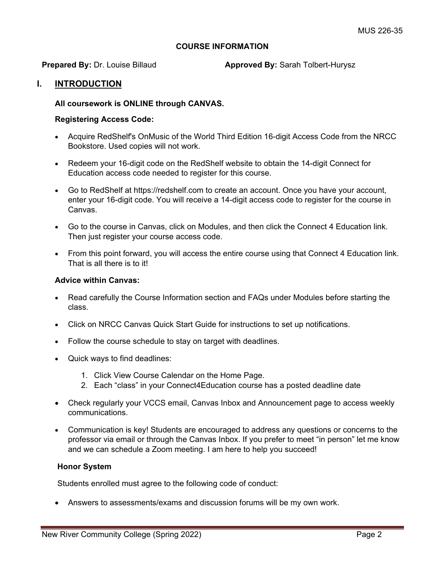## **COURSE INFORMATION**

**Prepared By:** Dr. Louise Billaud **Approved By:** Sarah Tolbert-Hurysz

## **I. INTRODUCTION**

## **All coursework is ONLINE through CANVAS.**

## **Registering Access Code:**

- Acquire RedShelf's OnMusic of the World Third Edition 16-digit Access Code from the NRCC Bookstore. Used copies will not work.
- Redeem your 16-digit code on the RedShelf website to obtain the 14-digit Connect for Education access code needed to register for this course.
- Go to RedShelf at<https://redshelf.com> to create an account. Once you have your account, enter your 16-digit code. You will receive a 14-digit access code to register for the course in Canvas.
- Go to the course in Canvas, click on Modules, and then click the Connect 4 Education link. Then just register your course access code.
- From this point forward, you will access the entire course using that Connect 4 Education link. That is all there is to it!

#### **Advice within Canvas:**

- Read carefully the Course Information section and FAQs under Modules before starting the class.
- Click on NRCC Canvas Quick Start Guide for instructions to set up notifications.
- Follow the course schedule to stay on target with deadlines.
- Quick ways to find deadlines:
	- 1. Click View Course Calendar on the Home Page.
	- 2. Each "class" in your Connect4Education course has a posted deadline date
- Check regularly your VCCS email, Canvas Inbox and Announcement page to access weekly communications.
- Communication is key! Students are encouraged to address any questions or concerns to the professor via email or through the Canvas Inbox. If you prefer to meet "in person" let me know and we can schedule a Zoom meeting. I am here to help you succeed!

#### **Honor System**

Students enrolled must agree to the following code of conduct:

• Answers to assessments/exams and discussion forums will be my own work.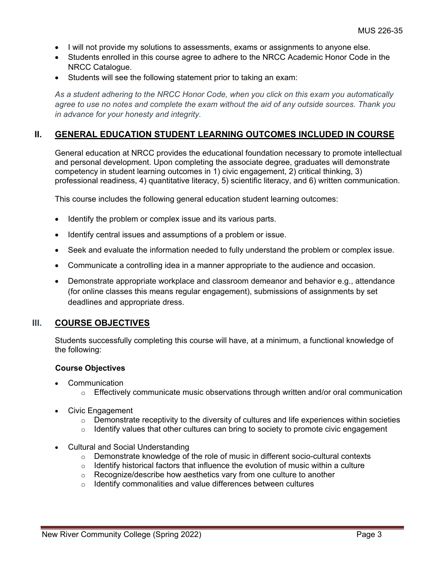- I will not provide my solutions to assessments, exams or assignments to anyone else.
- Students enrolled in this course agree to adhere to the NRCC Academic Honor Code in the NRCC Catalogue.
- Students will see the following statement prior to taking an exam:

*As a student adhering to the NRCC Honor Code, when you click on this exam you automatically agree to use no notes and complete the exam without the aid of any outside sources. Thank you in advance for your honesty and integrity.* 

## **II. GENERAL EDUCATION STUDENT LEARNING OUTCOMES INCLUDED IN COURSE**

General education at NRCC provides the educational foundation necessary to promote intellectual and personal development. Upon completing the associate degree, graduates will demonstrate competency in student learning outcomes in 1) civic engagement, 2) critical thinking, 3) professional readiness, 4) quantitative literacy, 5) scientific literacy, and 6) written communication.

This course includes the following general education student learning outcomes:

- Identify the problem or complex issue and its various parts.
- Identify central issues and assumptions of a problem or issue.
- Seek and evaluate the information needed to fully understand the problem or complex issue.
- Communicate a controlling idea in a manner appropriate to the audience and occasion.
- Demonstrate appropriate workplace and classroom demeanor and behavior e.g., attendance (for online classes this means regular engagement), submissions of assignments by set deadlines and appropriate dress.

## **III.** COURSE OBJECTIVES

Students successfully completing this course will have, at a minimum, a functional knowledge of the following:

#### **Course Objectives**

- Communication
	- $\circ$  Effectively communicate music observations through written and/or oral communication
- Civic Engagement
	- $\circ$  Demonstrate receptivity to the diversity of cultures and life experiences within societies
	- $\circ$  Identify values that other cultures can bring to society to promote civic engagement
- Cultural and Social Understanding
	- $\circ$  Demonstrate knowledge of the role of music in different socio-cultural contexts
	- $\circ$  Identify historical factors that influence the evolution of music within a culture
	- o Recognize/describe how aesthetics vary from one culture to another
	- $\circ$  Identify commonalities and value differences between cultures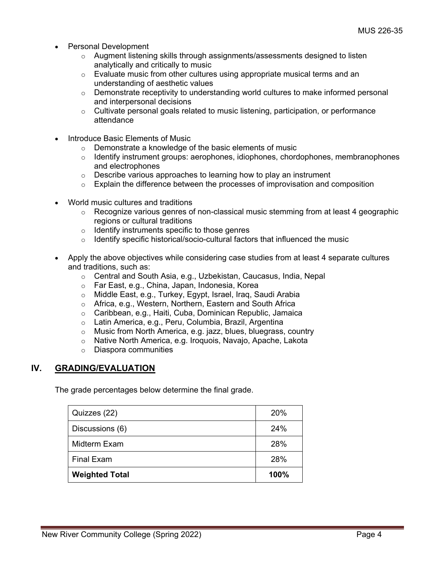- Personal Development
	- $\circ$  Augment listening skills through assignments/assessments designed to listen analytically and critically to music
	- $\circ$  Evaluate music from other cultures using appropriate musical terms and an understanding of aesthetic values
	- $\circ$  Demonstrate receptivity to understanding world cultures to make informed personal and interpersonal decisions
	- $\circ$  Cultivate personal goals related to music listening, participation, or performance attendance
- Introduce Basic Elements of Music
	- o Demonstrate a knowledge of the basic elements of music<br>
	o Identify instrument groups: aerophones, idiophones, chord
	- o Identify instrument groups: aerophones, idiophones, chordophones, membranophones and electrophones
	- $\circ$  Describe various approaches to learning how to play an instrument
	- $\circ$  Explain the difference between the processes of improvisation and composition
- World music cultures and traditions
	- $\circ$  Recognize various genres of non-classical music stemming from at least 4 geographic regions or cultural traditions
	- $\circ$  Identify instruments specific to those genres
	- $\circ$  Identify specific historical/socio-cultural factors that influenced the music
- Apply the above objectives while considering case studies from at least 4 separate cultures and traditions, such as:
	- o Central and South Asia, e.g., Uzbekistan, Caucasus, India, Nepal
	- o Far East, e.g., China, Japan, Indonesia, Korea<br>○ Middle East. e.g., Turkev. Egypt. Israel. Irag. S
	- Middle East, e.g., Turkey, Egypt, Israel, Iraq, Saudi Arabia
	- o Africa, e.g., Western, Northern, Eastern and South Africa
	- o Caribbean, e.g., Haiti, Cuba, Dominican Republic, Jamaica
	- o Latin America, e.g., Peru, Columbia, Brazil, Argentina
	- o Music from North America, e.g. jazz, blues, bluegrass, country
	- o Native North America, e.g. Iroquois, Navajo, Apache, Lakota
	- o Diaspora communities

# **IV. GRADING/EVALUATION**

The grade percentages below determine the final grade.

| Quizzes (22)          | 20%  |
|-----------------------|------|
| Discussions (6)       | 24%  |
| Midterm Exam          | 28%  |
| <b>Final Exam</b>     | 28%  |
| <b>Weighted Total</b> | 100% |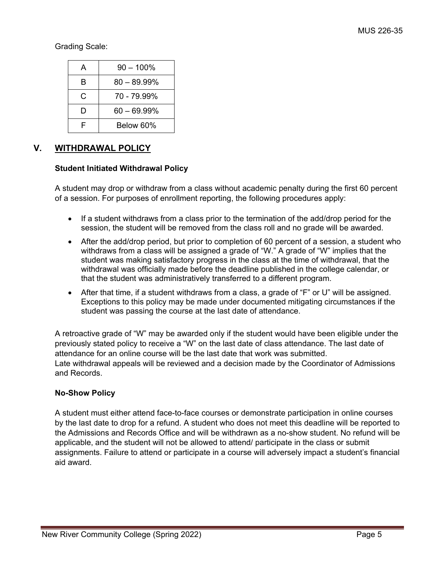Grading Scale:

| А | $90 - 100\%$   |
|---|----------------|
| в | $80 - 89.99\%$ |
| C | 70 - 79 99%    |
| D | $60 - 69.99\%$ |
| F | Below 60%      |

# **V. WITHDRAWAL POLICY**

# **Student Initiated Withdrawal Policy**

A student may drop or withdraw from a class without academic penalty during the first 60 percent of a session. For purposes of enrollment reporting, the following procedures apply:

- If a student withdraws from a class prior to the termination of the add/drop period for the session, the student will be removed from the class roll and no grade will be awarded.
- After the add/drop period, but prior to completion of 60 percent of a session, a student who withdraws from a class will be assigned a grade of "W." A grade of "W" implies that the student was making satisfactory progress in the class at the time of withdrawal, that the withdrawal was officially made before the deadline published in the college calendar, or that the student was administratively transferred to a different program.
- After that time, if a student withdraws from a class, a grade of "F" or U" will be assigned. Exceptions to this policy may be made under documented mitigating circumstances if the student was passing the course at the last date of attendance.

A retroactive grade of "W" may be awarded only if the student would have been eligible under the previously stated policy to receive a "W" on the last date of class attendance. The last date of attendance for an online course will be the last date that work was submitted. Late withdrawal appeals will be reviewed and a decision made by the Coordinator of Admissions and Records.

# **No-Show Policy**

 assignments. Failure to attend or participate in a course will adversely impact a student's financial A student must either attend face-to-face courses or demonstrate participation in online courses by the last date to drop for a refund. A student who does not meet this deadline will be reported to the Admissions and Records Office and will be withdrawn as a no-show student. No refund will be applicable, and the student will not be allowed to attend/ participate in the class or submit aid award.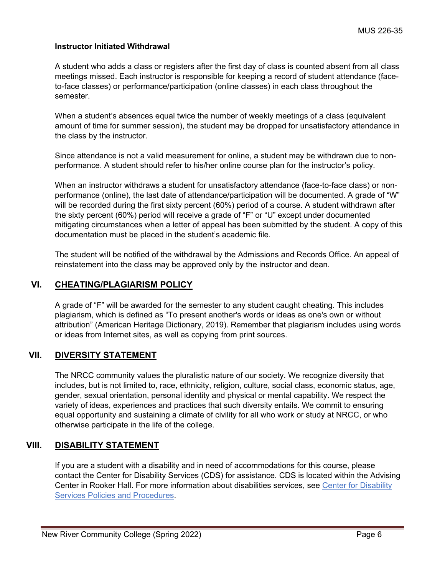## **Instructor Initiated Withdrawal**

A student who adds a class or registers after the first day of class is counted absent from all class meetings missed. Each instructor is responsible for keeping a record of student attendance (faceto-face classes) or performance/participation (online classes) in each class throughout the semester.

When a student's absences equal twice the number of weekly meetings of a class (equivalent amount of time for summer session), the student may be dropped for unsatisfactory attendance in the class by the instructor.

Since attendance is not a valid measurement for online, a student may be withdrawn due to nonperformance. A student should refer to his/her online course plan for the instructor's policy.

When an instructor withdraws a student for unsatisfactory attendance (face-to-face class) or nonperformance (online), the last date of attendance/participation will be documented. A grade of "W" will be recorded during the first sixty percent (60%) period of a course. A student withdrawn after the sixty percent (60%) period will receive a grade of "F" or "U" except under documented mitigating circumstances when a letter of appeal has been submitted by the student. A copy of this documentation must be placed in the student's academic file.

The student will be notified of the withdrawal by the Admissions and Records Office. An appeal of reinstatement into the class may be approved only by the instructor and dean.

# **VI. CHEATING/PLAGIARISM POLICY**

 A grade of "F" will be awarded for the semester to any student caught cheating. This includes plagiarism, which is defined as "To present another's words or ideas as one's own or without attribution" (American Heritage Dictionary, 2019). Remember that plagiarism includes using words or ideas from Internet sites, as well as copying from print sources.

# **VII. DIVERSITY STATEMENT**

The NRCC community values the pluralistic nature of our society. We recognize diversity that includes, but is not limited to, race, ethnicity, religion, culture, social class, economic status, age, gender, sexual orientation, personal identity and physical or mental capability. We respect the variety of ideas, experiences and practices that such diversity entails. We commit to ensuring equal opportunity and sustaining a climate of civility for all who work or study at NRCC, or who otherwise participate in the life of the college.

# **VIII. DISABILITY STATEMENT**

Center in Rooker Hall. For more information about disabilities services, see Center for Disability [Services Policies and Procedures.](https://catalog.nr.edu/content.php?catoid=24&navoid=1418&hl=%22disability%22&returnto=search#center-for-disability-services) If you are a student with a disability and in need of accommodations for this course, please contact the Center for Disability Services (CDS) for assistance. CDS is located within the Advising